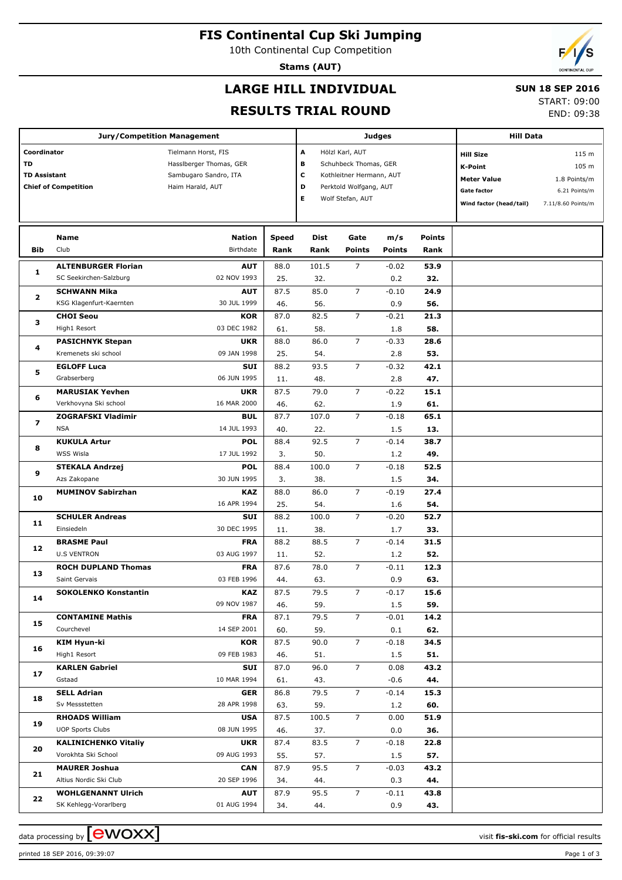**FIS Continental Cup Ski Jumping**

10th Continental Cup Competition

**Stams (AUT)**

## **LARGE HILL INDIVIDUAL**

#### **SUN 18 SEP 2016**

**RESULTS TRIAL ROUND**

| .            |            |
|--------------|------------|
| START: 09:00 |            |
|              | END: 09:38 |

**Jury/Competition Management Coordinator** Tielmann Horst, FIS **TD** Hassiberger Thomas, GER **TD Assistant** Sambugaro Sandro, ITA **Chief of Competition Haim Harald, AUT Judges A** Hölzl Karl, AUT **B** Schuhbeck Thomas, GER **C** Kothleitner Hermann, AUT **D** Perktold Wolfgang, AUT **E** Wolf Stefan, AUT **Hill Data K-Point** 105 m **Hill Size** 115 m **Meter Value** 1.8 Points/m **Gate factor** 6.21 Points/m **Wind factor (head/tail)** 7.11/8.60 Points/m **Bib Name** Club Birthdate **Nation Speed Dist Rank Rank Gate Points m/s Points Points Rank ALTENBURGER Florian** SC Seekirchen-Salzburg **AUT** 02 NOV 1993 **1** 88.0 101.5 25. 32. 7 0.2 **53.9 32.** -0.02 **SCHWANN Mika** KSG Klagenfurt-Kaernten **AUT** 30 JUL 1999 **2** 87.5 85.0 46. 56. 7 0.9 **24.9 56.**  $-0.10$ **CHOI Seou** High1 Resort **KOR** 03 DEC 1982 **3** 87.0 82.5 61. 58. 7 1.8 **21.3 58.**  $-0.21$ **PASICHNYK Stepan** Kremenets ski school **UKR** 09 JAN 1998 **4** 88.0 86.0 25. 54. 7 2.8 **28.6 53.**  $-0.33$ **EGLOFF Luca** Grabserberg **SUI** 06 JUN 1995 **5** 88.2 93.5 11. 48. 7 2.8 **42.1 47.**  $-0.32$ **MARUSIAK Yevhen** Verkhovyna Ski school **UKR** 16 MAR 2000 **6**  $87.5$  79.0 46. 62. 7 1.9 **15.1 61.**  $-0.22$ **ZOGRAFSKI Vladimir** NSA **BUL** 14 JUL 1993 **7** 87.7 107.0 40. 22. 7 1.5 **65.1 13.**  $-0.18$ **KUKULA Artur** WSS Wisla **POL** 17 JUL 1992 **8** 88.4 92.5 3. 50. 7 1.2 **38.7 49.**  $-0.14$ **STEKALA Andrzej** Azs Zakopane **POL** 30 JUN 1995 **9** 88.4 100.0 3. 38. 7 1.5 **52.5 34.**  $-0.18$ **MUMINOV Sabirzhan KAZ** 16 APR 1994 **10** 88.0 86.0 25. 54. 7 1.6 **27.4 54.**  $-0.19$ **SCHULER Andreas** Einsiedeln **SUI** 30 DEC 1995 **11** 88.2 100.0 11. 38. 7 1.7 **52.7 33.**  $-0.20$ **BRASME Paul** U.S VENTRON **FRA** 03 AUG 1997 **12** 88.2 88.5 11. 52. 7 1.2 **31.5 52.**  $-0.14$ **ROCH DUPLAND Thomas** Saint Gervais **FRA** 03 FEB 1996 **13** 87.6 78.0 44. 63. 7 0.9 **12.3 63.**  $-0.11$ **SOKOLENKO Konstantin KAZ** 09 NOV 1987 **14** 87.5 79.5 46. 59. 7 1.5 **15.6 59.**  $-0.17$ **CONTAMINE Mathis** Courchevel **FRA** 14 SEP 2001 **15** 87.1 79.5 60. 59. 5 0.1 **14.2 62.**  $-0.01$ **KIM Hyun-ki** High1 Resort **KOR** 09 FEB 1983 **16** 87.5 90.0 46. 51. 7 1.5 **34.5 51.**  $-0.18$ **KARLEN Gabriel** Gstaad **SUI** 10 MAR 1994 **17**  $87.0$  96.0 61. 43. 7 -0.6 **43.2 44.**  $0.08$ **SELL Adrian** Sv Messstetten **GER** 28 APR 1998 **18** 86.8 79.5 63. 59. 7 1.2 **15.3 60.**  $-0.14$ **RHOADS William** UOP Sports Clubs **USA** 08 JUN 1995 **19**  $87.5$  100.5 46. 37. 7 0.0 **51.9 36.**  $0.00$ **KALINICHENKO Vitaliy** Vorokhta Ski School **UKR** 09 AUG 1993 **20** 87.4 83.5 55. 57. 7 1.5 **22.8 57.**  $-0.18$ **MAURER Joshua CAN** 87.9 95.5 7 **43.2** -0.03

Altius Nordic Ski Club 20 SEP 1996 **21** 34. 44. 0.3 **44. WOHLGENANNT Ulrich** SK Kehlegg-Vorarlberg **AUT** 01 AUG 1994 **22** 87.9 95.5 34. 44. 7 0.9 **43.8 43.**  $-0.11$ 

data processing by  $\boxed{\text{ewOX}}$ 

printed 18 SEP 2016, 09:39:07 Page 1 of 3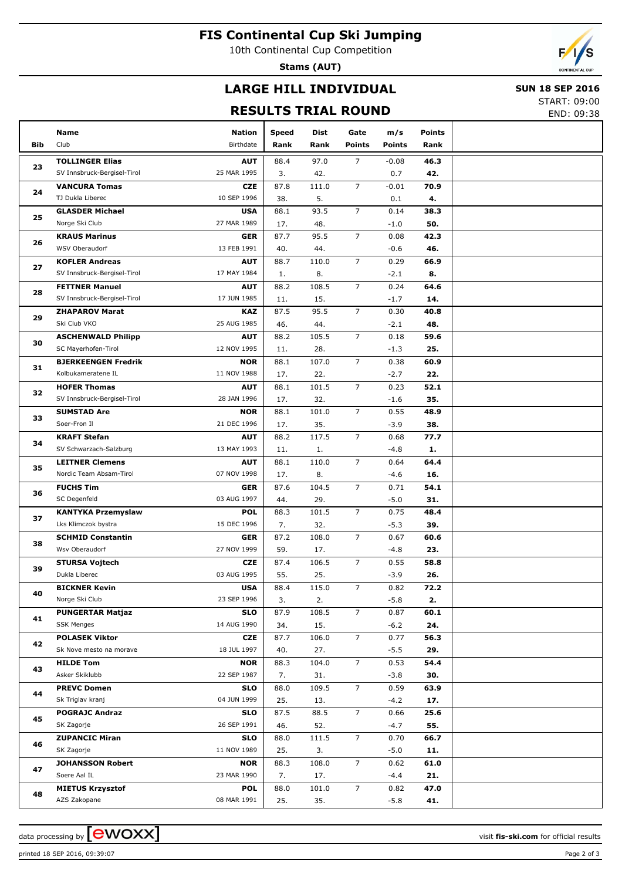## **FIS Continental Cup Ski Jumping**

10th Continental Cup Competition

**Stams (AUT)**

## **LARGE HILL INDIVIDUAL**

#### **SUN 18 SEP 2016**

### **RESULTS TRIAL ROUND**

START: 09:00 END: 09:38

|            | Name                                       | <b>Nation</b>             | Speed      | Dist         | Gate           | m/s            | <b>Points</b> |  |
|------------|--------------------------------------------|---------------------------|------------|--------------|----------------|----------------|---------------|--|
| <b>Bib</b> | Club                                       | Birthdate                 | Rank       | Rank         | <b>Points</b>  | <b>Points</b>  | Rank          |  |
|            | <b>TOLLINGER Elias</b>                     | <b>AUT</b>                | 88.4       | 97.0         | 7              | $-0.08$        | 46.3          |  |
| 23         | SV Innsbruck-Bergisel-Tirol                | 25 MAR 1995               | 3.         | 42.          |                | 0.7            | 42.           |  |
|            | <b>VANCURA Tomas</b>                       | <b>CZE</b>                | 87.8       | 111.0        | $\overline{7}$ | $-0.01$        | 70.9          |  |
| 24         | TJ Dukla Liberec                           | 10 SEP 1996               | 38.        | 5.           |                | 0.1            | 4.            |  |
|            | <b>GLASDER Michael</b>                     | <b>USA</b>                | 88.1       | 93.5         | $\overline{7}$ | 0.14           | 38.3          |  |
| 25         | Norge Ski Club                             | 27 MAR 1989               | 17.        | 48.          |                | $-1.0$         | 50.           |  |
|            | <b>KRAUS Marinus</b>                       | <b>GER</b>                | 87.7       | 95.5         | $\overline{7}$ | 0.08           | 42.3          |  |
| 26         | WSV Oberaudorf                             | 13 FEB 1991               | 40.        | 44.          |                | $-0.6$         | 46.           |  |
| 27         | <b>KOFLER Andreas</b>                      | <b>AUT</b>                | 88.7       | 110.0        | $\overline{7}$ | 0.29           | 66.9          |  |
|            | SV Innsbruck-Bergisel-Tirol                | 17 MAY 1984               | 1.         | 8.           |                | $-2.1$         | 8.            |  |
| 28         | <b>FETTNER Manuel</b>                      | <b>AUT</b>                | 88.2       | 108.5        | $\overline{7}$ | 0.24           | 64.6          |  |
|            | SV Innsbruck-Bergisel-Tirol                | 17 JUN 1985               | 11.        | 15.          |                | $-1.7$         | 14.           |  |
| 29         | <b>ZHAPAROV Marat</b>                      | <b>KAZ</b>                | 87.5       | 95.5         | $\overline{7}$ | 0.30           | 40.8          |  |
|            | Ski Club VKO                               | 25 AUG 1985               | 46.        | 44.          |                | $-2.1$         | 48.           |  |
| 30         | <b>ASCHENWALD Philipp</b>                  | <b>AUT</b>                | 88.2       | 105.5        | $\overline{7}$ | 0.18           | 59.6          |  |
|            | SC Mayerhofen-Tirol                        | 12 NOV 1995               | 11.        | 28.          |                | $-1.3$         | 25.           |  |
| 31         | <b>BJERKEENGEN Fredrik</b>                 | <b>NOR</b>                | 88.1       | 107.0        | $\overline{7}$ | 0.38           | 60.9          |  |
|            | Kolbukameratene IL                         | 11 NOV 1988               | 17.        | 22.          |                | $-2.7$         | 22.           |  |
| 32         | <b>HOFER Thomas</b>                        | <b>AUT</b>                | 88.1       | 101.5        | $\overline{7}$ | 0.23           | 52.1          |  |
|            | SV Innsbruck-Bergisel-Tirol                | 28 JAN 1996               | 17.        | 32.          |                | $-1.6$         | 35.           |  |
| 33         | <b>SUMSTAD Are</b>                         | <b>NOR</b>                | 88.1       | 101.0        | $\overline{7}$ | 0.55           | 48.9          |  |
|            | Soer-Fron Il                               | 21 DEC 1996               | 17.        | 35.          |                | $-3.9$         | 38.           |  |
| 34         | <b>KRAFT Stefan</b>                        | <b>AUT</b>                | 88.2       | 117.5        | $\overline{7}$ | 0.68           | 77.7          |  |
|            | SV Schwarzach-Salzburg                     | 13 MAY 1993               | 11.        | 1.           |                | $-4.8$         | 1.            |  |
| 35         | <b>LEITNER Clemens</b>                     | <b>AUT</b>                | 88.1       | 110.0        | $\overline{7}$ | 0.64           | 64.4          |  |
|            | Nordic Team Absam-Tirol                    | 07 NOV 1998               | 17.        | 8.           |                | $-4.6$         | 16.           |  |
| 36         | <b>FUCHS Tim</b>                           | <b>GER</b>                | 87.6       | 104.5        | $\overline{7}$ | 0.71           | 54.1          |  |
|            | SC Degenfeld                               | 03 AUG 1997               | 44.        | 29.          |                | $-5.0$         | 31.           |  |
| 37         | <b>KANTYKA Przemyslaw</b>                  | <b>POL</b><br>15 DEC 1996 | 88.3       | 101.5        | $\overline{7}$ | 0.75           | 48.4          |  |
|            | Lks Klimczok bystra                        | <b>GER</b>                | 7.<br>87.2 | 32.          | $\overline{7}$ | $-5.3$         | 39.           |  |
| 38         | <b>SCHMID Constantin</b><br>Wsv Oberaudorf | 27 NOV 1999               | 59.        | 108.0<br>17. |                | 0.67           | 60.6<br>23.   |  |
|            | <b>STURSA Vojtech</b>                      | <b>CZE</b>                | 87.4       | 106.5        | $\overline{7}$ | $-4.8$<br>0.55 | 58.8          |  |
| 39         | Dukla Liberec                              | 03 AUG 1995               | 55.        | 25.          |                | $-3.9$         | 26.           |  |
|            | <b>BICKNER Kevin</b>                       | <b>USA</b>                | 88.4       | 115.0        | 7              | 0.82           | 72.2          |  |
| 40         | Norge Ski Club                             | 23 SEP 1996               | 3.         | 2.           |                | $-5.8$         | 2.            |  |
|            | <b>PUNGERTAR Matjaz</b>                    | <b>SLO</b>                | 87.9       | 108.5        | $\overline{7}$ | 0.87           | 60.1          |  |
| 41         | <b>SSK Menges</b>                          | 14 AUG 1990               | 34.        | 15.          |                | $-6.2$         | 24.           |  |
|            | <b>POLASEK Viktor</b>                      | CZE                       | 87.7       | 106.0        | $\overline{7}$ | 0.77           | 56.3          |  |
| 42         | Sk Nove mesto na morave                    | 18 JUL 1997               | 40.        | 27.          |                | $-5.5$         | 29.           |  |
|            | <b>HILDE Tom</b>                           | <b>NOR</b>                | 88.3       | 104.0        | $\overline{7}$ | 0.53           | 54.4          |  |
| 43         | Asker Skiklubb                             | 22 SEP 1987               | 7.         | 31.          |                | $-3.8$         | 30.           |  |
|            | <b>PREVC Domen</b>                         | <b>SLO</b>                | 88.0       | 109.5        | $\overline{7}$ | 0.59           | 63.9          |  |
| 44         | Sk Triglav kranj                           | 04 JUN 1999               | 25.        | 13.          |                | $-4.2$         | 17.           |  |
|            | <b>POGRAJC Andraz</b>                      | <b>SLO</b>                | 87.5       | 88.5         | $\overline{7}$ | 0.66           | 25.6          |  |
| 45         | SK Zagorje                                 | 26 SEP 1991               | 46.        | 52.          |                | $-4.7$         | 55.           |  |
| 46         | <b>ZUPANCIC Miran</b>                      | <b>SLO</b>                | 88.0       | 111.5        | $\overline{7}$ | 0.70           | 66.7          |  |
|            | SK Zagorje                                 | 11 NOV 1989               | 25.        | 3.           |                | $-5.0$         | 11.           |  |
|            | <b>JOHANSSON Robert</b>                    | <b>NOR</b>                | 88.3       | 108.0        | $\overline{7}$ | 0.62           | 61.0          |  |
| 47         | Soere Aal IL                               | 23 MAR 1990               | 7.         | 17.          |                | $-4.4$         | 21.           |  |
|            | <b>MIETUS Krzysztof</b>                    | <b>POL</b>                | 88.0       | 101.0        | $\overline{7}$ | 0.82           | 47.0          |  |
| 48         | AZS Zakopane                               | 08 MAR 1991               | 25.        | 35.          |                | $-5.8$         | 41.           |  |

data processing by **CWOXX**  $\blacksquare$ 

printed 18 SEP 2016, 09:39:07 Page 2 of 3